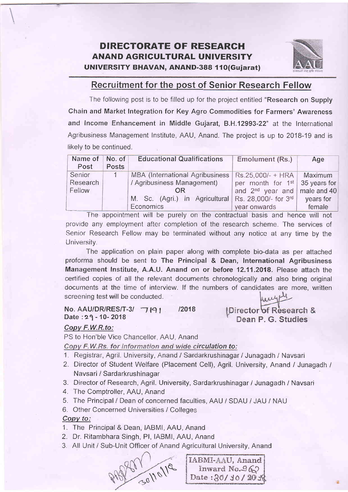## DIREGTORATE OF RESEARCH **ANAND AGRICULTURAL UNIVERSITY** UNIVERSITY BHAVAN, ANAND-388 110(Gujarat)



### Recruitment for the post of Senior Research Fellow

The following post is to be filled up for the project entitled "Research on Supply Chain and Market lntegration for Key Agro Commodities for Farmers' Awareness and Income Enhancement in Middle Gujarat, B.H.12993-22" at the International Agribusiness Management Institute, AAU, Anand. The project is up to 2018-19 and is likely to be continued.

| Name of  | No. of       | <b>Educational Qualifications</b> |  |  |  | <b>Emolument (Rs.)</b>                              | Age       |
|----------|--------------|-----------------------------------|--|--|--|-----------------------------------------------------|-----------|
| Post     | <b>Posts</b> |                                   |  |  |  |                                                     |           |
| Senior   |              | MBA (International Agribusiness)  |  |  |  | Rs.25,000/- + HRA                                   | Maximum   |
| Research |              | / Agribusiness Management)        |  |  |  | per month for $1st$ 35 years for                    |           |
| Fellow   |              | OR                                |  |  |  | and $2^{nd}$ year and male and 40                   |           |
|          |              |                                   |  |  |  | M. Sc. (Agri.) in Agricultural Rs. 28,000/- for 3rd | years for |
|          |              | Economics                         |  |  |  | year onwards                                        | female    |

The appointment will be purely on the contractual basis and hence will not provide any employment after completion of the research scheme. The services of Senior Research Fellow may be terminated without any notice at any time by the University.

The application on plain paper along with complete bio-data as per attached proforma should be sent to The Principal & Dean, International Agribusiness Management Institute, A.A.U. Anand on or before 12.11.2018. Please attach the certified copies of all the relevant documents chronologically and also bring original documents at the time of interview. lf the numbers of candidates are more. written unyle screening test will be conducted.

No. AAU/DR/RES/T-3/ 7191 /2018 Date: 29 - 10- 2018

Director of Research & Dean P. G. Studies

#### Copv F.W.R.to:

 $\overline{\mathcal{L}}$  $\overline{\phantom{a}}$ 

PS to Hon'ble Vice Chancellor. AAU, Anand

Copy F.W.Rs. for information and wide circulation to:

- 1. Registrar, Agril. University, Anand / Sardarkrushinagar / Junagadh / Navsari
- 2. Director of Student Welfare (Placement Cell), Agril. University, Anand / Junagadh / Navsari / Sardarkrushinagar
- 3. Director of Research, Agril. University, Sardarkrushinagar / Junagadh / Navsari
- 4. The Comptroller, AAU, Anand
- 5. The Principal / Dean of concerned faculties, AAU / SDAU / JAU / NAU
- 6. Other Concerned Universities / College

#### Copv to:

- 1. The Principal & Dean, lABMl, AAU, Anand
- 2. Dr. Ritambhara Singh, Pl, IABMl, AAU, Anand
- 3. All Unit / Sub-Unit Officer of Anand Agricultural University, Anand

 $R686161618$ 

IABMI-AAU, Anand  $i$ nward No. $96$ <br>Date: $30/30/20$